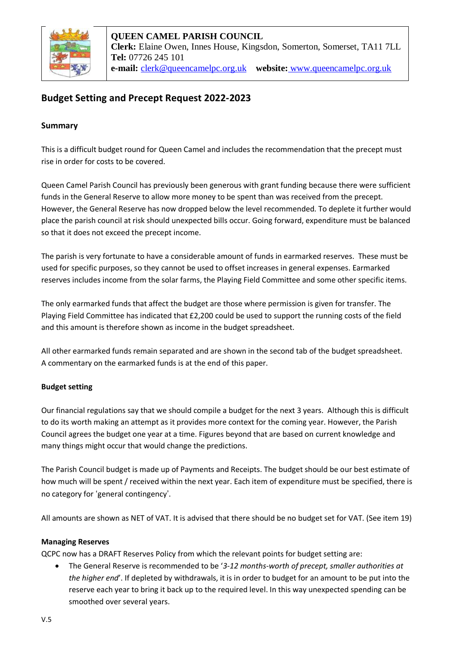

**QUEEN CAMEL PARISH COUNCIL Clerk:** Elaine Owen, Innes House, Kingsdon, Somerton, Somerset, TA11 7LL **Tel:** 07726 245 101 **e-mail:** clerk@queencamelpc.org.uk **website:** [www.queencamelpc.org.uk](http://www.queencamelpc.org.uk/)

# **Budget Setting and Precept Request 2022-2023**

# **Summary**

This is a difficult budget round for Queen Camel and includes the recommendation that the precept must rise in order for costs to be covered.

Queen Camel Parish Council has previously been generous with grant funding because there were sufficient funds in the General Reserve to allow more money to be spent than was received from the precept. However, the General Reserve has now dropped below the level recommended. To deplete it further would place the parish council at risk should unexpected bills occur. Going forward, expenditure must be balanced so that it does not exceed the precept income.

The parish is very fortunate to have a considerable amount of funds in earmarked reserves. These must be used for specific purposes, so they cannot be used to offset increases in general expenses. Earmarked reserves includes income from the solar farms, the Playing Field Committee and some other specific items.

The only earmarked funds that affect the budget are those where permission is given for transfer. The Playing Field Committee has indicated that £2,200 could be used to support the running costs of the field and this amount is therefore shown as income in the budget spreadsheet.

All other earmarked funds remain separated and are shown in the second tab of the budget spreadsheet. A commentary on the earmarked funds is at the end of this paper.

# **Budget setting**

Our financial regulations say that we should compile a budget for the next 3 years. Although this is difficult to do its worth making an attempt as it provides more context for the coming year. However, the Parish Council agrees the budget one year at a time. Figures beyond that are based on current knowledge and many things might occur that would change the predictions.

The Parish Council budget is made up of Payments and Receipts. The budget should be our best estimate of how much will be spent / received within the next year. Each item of expenditure must be specified, there is no category for 'general contingency'.

All amounts are shown as NET of VAT. It is advised that there should be no budget set for VAT. (See item 19)

### **Managing Reserves**

QCPC now has a DRAFT Reserves Policy from which the relevant points for budget setting are:

 The General Reserve is recommended to be '*3-12 months-worth of precept, smaller authorities at the higher end*'. If depleted by withdrawals, it is in order to budget for an amount to be put into the reserve each year to bring it back up to the required level. In this way unexpected spending can be smoothed over several years.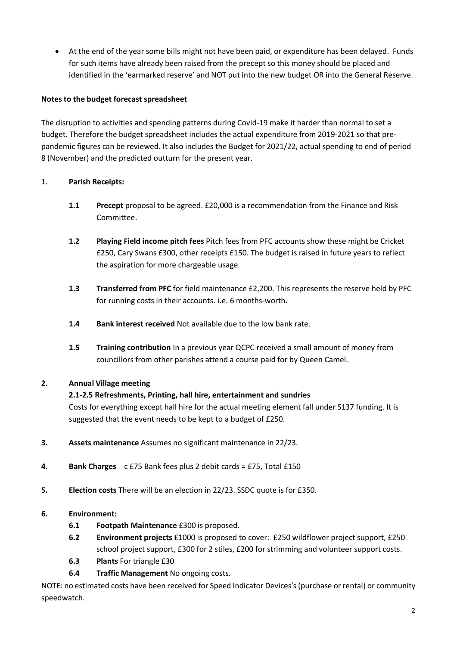At the end of the year some bills might not have been paid, or expenditure has been delayed. Funds for such items have already been raised from the precept so this money should be placed and identified in the 'earmarked reserve' and NOT put into the new budget OR into the General Reserve.

### **Notes to the budget forecast spreadsheet**

The disruption to activities and spending patterns during Covid-19 make it harder than normal to set a budget. Therefore the budget spreadsheet includes the actual expenditure from 2019-2021 so that prepandemic figures can be reviewed. It also includes the Budget for 2021/22, actual spending to end of period 8 (November) and the predicted outturn for the present year.

# 1. **Parish Receipts:**

- **1.1 Precept** proposal to be agreed. £20,000 is a recommendation from the Finance and Risk Committee.
- **1.2 Playing Field income pitch fees** Pitch fees from PFC accounts show these might be Cricket £250, Cary Swans £300, other receipts £150. The budget is raised in future years to reflect the aspiration for more chargeable usage.
- **1.3 Transferred from PFC** for field maintenance £2,200. This represents the reserve held by PFC for running costs in their accounts. i.e. 6 months-worth.
- **1.4 Bank interest received** Not available due to the low bank rate.
- **1.5 Training contribution** In a previous year QCPC received a small amount of money from councillors from other parishes attend a course paid for by Queen Camel.

# **2. Annual Village meeting**

# **2.1-2.5 Refreshments, Printing, hall hire, entertainment and sundries**

Costs for everything except hall hire for the actual meeting element fall under S137 funding. It is suggested that the event needs to be kept to a budget of £250.

- **3. Assets maintenance** Assumes no significant maintenance in 22/23.
- **4. Bank Charges** c £75 Bank fees plus 2 debit cards = £75, Total £150
- **5. Election costs** There will be an election in 22/23. SSDC quote is for £350.

# **6. Environment:**

- **6.1 Footpath Maintenance** £300 is proposed.
- **6.2 Environment projects** £1000 is proposed to cover: £250 wildflower project support, £250 school project support, £300 for 2 stiles, £200 for strimming and volunteer support costs.
- **6.3 Plants** For triangle £30
- **6.4 Traffic Management** No ongoing costs.

NOTE: no estimated costs have been received for Speed Indicator Devices's (purchase or rental) or community speedwatch.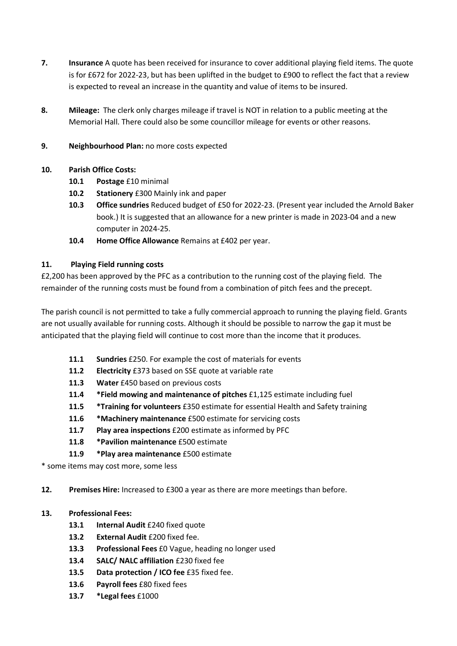- **7. Insurance** A quote has been received for insurance to cover additional playing field items. The quote is for £672 for 2022-23, but has been uplifted in the budget to £900 to reflect the fact that a review is expected to reveal an increase in the quantity and value of items to be insured.
- **8. Mileage:** The clerk only charges mileage if travel is NOT in relation to a public meeting at the Memorial Hall. There could also be some councillor mileage for events or other reasons.
- **9. Neighbourhood Plan:** no more costs expected

# **10. Parish Office Costs:**

- **10.1 Postage** £10 minimal
- **10.2 Stationery** £300 Mainly ink and paper
- **10.3 Office sundries** Reduced budget of £50 for 2022-23. (Present year included the Arnold Baker book.) It is suggested that an allowance for a new printer is made in 2023-04 and a new computer in 2024-25.
- **10.4 Home Office Allowance** Remains at £402 per year.

### **11. Playing Field running costs**

£2,200 has been approved by the PFC as a contribution to the running cost of the playing field. The remainder of the running costs must be found from a combination of pitch fees and the precept.

The parish council is not permitted to take a fully commercial approach to running the playing field. Grants are not usually available for running costs. Although it should be possible to narrow the gap it must be anticipated that the playing field will continue to cost more than the income that it produces.

- **11.1 Sundries** £250. For example the cost of materials for events
- **11.2 Electricity** £373 based on SSE quote at variable rate
- **11.3 Water** £450 based on previous costs
- **11.4 \*Field mowing and maintenance of pitches** £1,125 estimate including fuel
- **11.5 \*Training for volunteers** £350 estimate for essential Health and Safety training
- **11.6 \*Machinery maintenance** £500 estimate for servicing costs
- **11.7 Play area inspections** £200 estimate as informed by PFC
- **11.8 \*Pavilion maintenance** £500 estimate
- **11.9 \*Play area maintenance** £500 estimate

\* some items may cost more, some less

### **12. Premises Hire:** Increased to £300 a year as there are more meetings than before.

### **13. Professional Fees:**

- **13.1 Internal Audit** £240 fixed quote
- **13.2 External Audit** £200 fixed fee.
- **13.3 Professional Fees** £0 Vague, heading no longer used
- **13.4 SALC/ NALC affiliation** £230 fixed fee
- **13.5 Data protection / ICO fee** £35 fixed fee.
- **13.6 Payroll fees** £80 fixed fees
- **13.7 \*Legal fees** £1000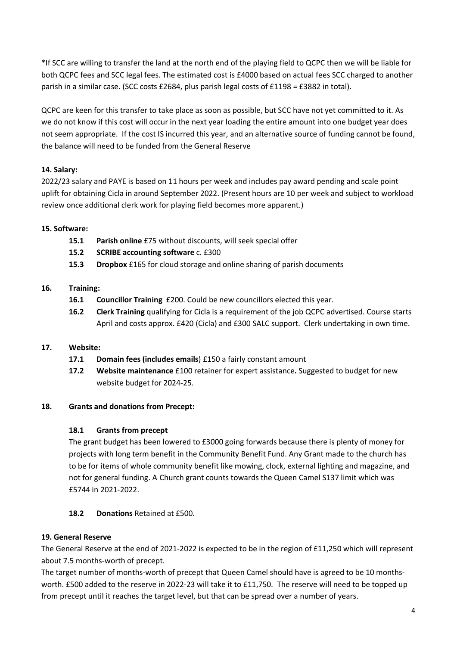\*If SCC are willing to transfer the land at the north end of the playing field to QCPC then we will be liable for both QCPC fees and SCC legal fees. The estimated cost is £4000 based on actual fees SCC charged to another parish in a similar case. (SCC costs £2684, plus parish legal costs of £1198 = £3882 in total).

QCPC are keen for this transfer to take place as soon as possible, but SCC have not yet committed to it. As we do not know if this cost will occur in the next year loading the entire amount into one budget year does not seem appropriate. If the cost IS incurred this year, and an alternative source of funding cannot be found, the balance will need to be funded from the General Reserve

# **14. Salary:**

2022/23 salary and PAYE is based on 11 hours per week and includes pay award pending and scale point uplift for obtaining Cicla in around September 2022. (Present hours are 10 per week and subject to workload review once additional clerk work for playing field becomes more apparent.)

# **15. Software:**

- **15.1 Parish online** £75 without discounts, will seek special offer
- **15.2 SCRIBE accounting software** c. £300
- **15.3 Dropbox** £165 for cloud storage and online sharing of parish documents

# **16. Training:**

- **16.1 Councillor Training** £200. Could be new councillors elected this year.
- **16.2 Clerk Training** qualifying for Cicla is a requirement of the job QCPC advertised. Course starts April and costs approx. £420 (Cicla) and £300 SALC support. Clerk undertaking in own time.

# **17. Website:**

- **17.1 Domain fees (includes emails**) £150 a fairly constant amount
- **17.2 Website maintenance** £100 retainer for expert assistance**.** Suggested to budget for new website budget for 2024-25.

# **18. Grants and donations from Precept:**

# **18.1 Grants from precept**

The grant budget has been lowered to £3000 going forwards because there is plenty of money for projects with long term benefit in the Community Benefit Fund. Any Grant made to the church has to be for items of whole community benefit like mowing, clock, external lighting and magazine, and not for general funding. A Church grant counts towards the Queen Camel S137 limit which was £5744 in 2021-2022.

# **18.2 Donations** Retained at £500.

# **19. General Reserve**

The General Reserve at the end of 2021-2022 is expected to be in the region of £11,250 which will represent about 7.5 months-worth of precept.

The target number of months-worth of precept that Queen Camel should have is agreed to be 10 monthsworth. £500 added to the reserve in 2022-23 will take it to £11,750. The reserve will need to be topped up from precept until it reaches the target level, but that can be spread over a number of years.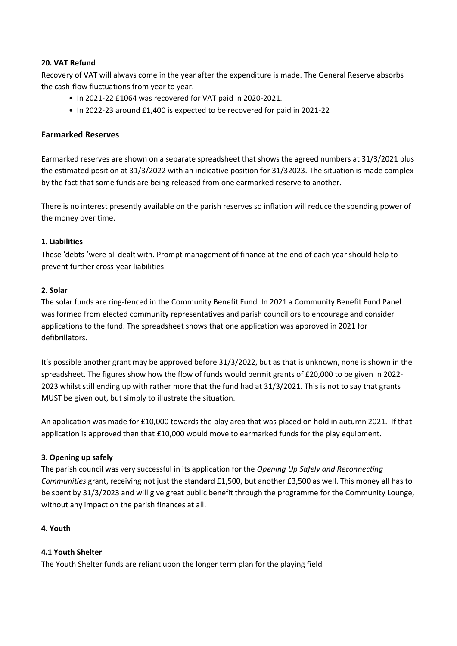#### **20. VAT Refund**

Recovery of VAT will always come in the year after the expenditure is made. The General Reserve absorbs the cash-flow fluctuations from year to year.

- In 2021-22 £1064 was recovered for VAT paid in 2020-2021.
- In 2022-23 around £1,400 is expected to be recovered for paid in 2021-22

### **Earmarked Reserves**

Earmarked reserves are shown on a separate spreadsheet that shows the agreed numbers at 31/3/2021 plus the estimated position at 31/3/2022 with an indicative position for 31/32023. The situation is made complex by the fact that some funds are being released from one earmarked reserve to another.

There is no interest presently available on the parish reserves so inflation will reduce the spending power of the money over time.

#### **1. Liabilities**

These 'debts 'were all dealt with. Prompt management of finance at the end of each year should help to prevent further cross-year liabilities.

#### **2. Solar**

The solar funds are ring-fenced in the Community Benefit Fund. In 2021 a Community Benefit Fund Panel was formed from elected community representatives and parish councillors to encourage and consider applications to the fund. The spreadsheet shows that one application was approved in 2021 for defibrillators.

It's possible another grant may be approved before 31/3/2022, but as that is unknown, none is shown in the spreadsheet. The figures show how the flow of funds would permit grants of £20,000 to be given in 2022- 2023 whilst still ending up with rather more that the fund had at 31/3/2021. This is not to say that grants MUST be given out, but simply to illustrate the situation.

An application was made for £10,000 towards the play area that was placed on hold in autumn 2021. If that application is approved then that £10,000 would move to earmarked funds for the play equipment.

### **3. Opening up safely**

The parish council was very successful in its application for the *Opening Up Safely and Reconnecting Communities* grant, receiving not just the standard £1,500, but another £3,500 as well. This money all has to be spent by 31/3/2023 and will give great public benefit through the programme for the Community Lounge, without any impact on the parish finances at all.

#### **4. Youth**

#### **4.1 Youth Shelter**

The Youth Shelter funds are reliant upon the longer term plan for the playing field.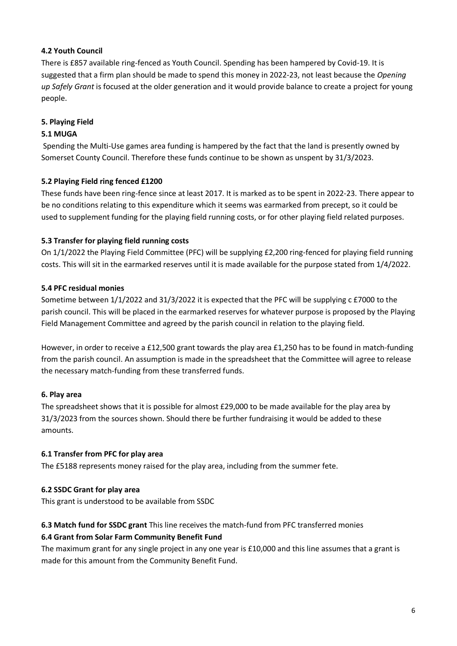# **4.2 Youth Council**

There is £857 available ring-fenced as Youth Council. Spending has been hampered by Covid-19. It is suggested that a firm plan should be made to spend this money in 2022-23, not least because the *Opening up Safely Grant* is focused at the older generation and it would provide balance to create a project for young people.

# **5. Playing Field**

# **5.1 MUGA**

Spending the Multi-Use games area funding is hampered by the fact that the land is presently owned by Somerset County Council. Therefore these funds continue to be shown as unspent by 31/3/2023.

### **5.2 Playing Field ring fenced £1200**

These funds have been ring-fence since at least 2017. It is marked as to be spent in 2022-23. There appear to be no conditions relating to this expenditure which it seems was earmarked from precept, so it could be used to supplement funding for the playing field running costs, or for other playing field related purposes.

### **5.3 Transfer for playing field running costs**

On 1/1/2022 the Playing Field Committee (PFC) will be supplying £2,200 ring-fenced for playing field running costs. This will sit in the earmarked reserves until it is made available for the purpose stated from 1/4/2022.

# **5.4 PFC residual monies**

Sometime between 1/1/2022 and 31/3/2022 it is expected that the PFC will be supplying c £7000 to the parish council. This will be placed in the earmarked reserves for whatever purpose is proposed by the Playing Field Management Committee and agreed by the parish council in relation to the playing field.

However, in order to receive a £12,500 grant towards the play area £1,250 has to be found in match-funding from the parish council. An assumption is made in the spreadsheet that the Committee will agree to release the necessary match-funding from these transferred funds.

### **6. Play area**

The spreadsheet shows that it is possible for almost £29,000 to be made available for the play area by 31/3/2023 from the sources shown. Should there be further fundraising it would be added to these amounts.

### **6.1 Transfer from PFC for play area**

The £5188 represents money raised for the play area, including from the summer fete.

### **6.2 SSDC Grant for play area**

This grant is understood to be available from SSDC

### **6.3 Match fund for SSDC grant** This line receives the match-fund from PFC transferred monies **6.4 Grant from Solar Farm Community Benefit Fund**

The maximum grant for any single project in any one year is £10,000 and this line assumes that a grant is made for this amount from the Community Benefit Fund.